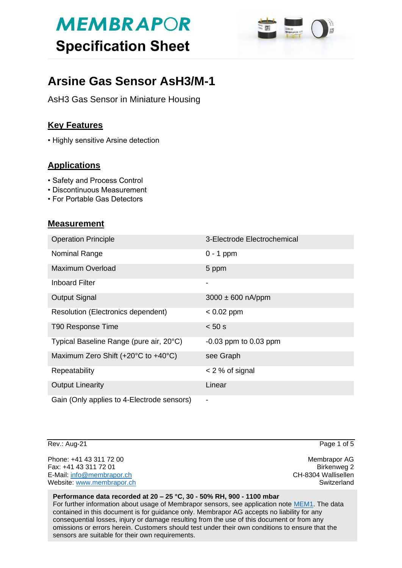

# **Arsine Gas Sensor AsH3/M-1**

AsH3 Gas Sensor in Miniature Housing

## **Key Features**

• Highly sensitive Arsine detection

## **Applications**

- Safety and Process Control
- Discontinuous Measurement
- For Portable Gas Detectors

### **Measurement**

| <b>Operation Principle</b>                 | 3-Electrode Electrochemical |
|--------------------------------------------|-----------------------------|
| Nominal Range                              | $0 - 1$ ppm                 |
| Maximum Overload                           | 5 ppm                       |
| <b>Inboard Filter</b>                      | $\overline{\phantom{a}}$    |
| <b>Output Signal</b>                       | $3000 \pm 600$ nA/ppm       |
| <b>Resolution (Electronics dependent)</b>  | $< 0.02$ ppm                |
| T90 Response Time                          | < 50 s                      |
| Typical Baseline Range (pure air, 20°C)    | $-0.03$ ppm to 0.03 ppm     |
| Maximum Zero Shift (+20°C to +40°C)        | see Graph                   |
| Repeatability                              | $<$ 2 % of signal           |
| <b>Output Linearity</b>                    | Linear                      |
| Gain (Only applies to 4-Electrode sensors) | $\blacksquare$              |

Rev.: Aug-21 Page 1 of 5

Phone: +41 43 311 72 00 **Membrapor AG** Fax: +41 43 311 72 01 Birkenweg 2 E-Mail: [info@membrapor.ch](mailto:info@membrapor.ch) CH-8304 Wallisellen Website: [www.membrapor.ch](http://www.membrapor.ch/) Switzerland Switzerland Switzerland

#### **Performance data recorded at 20 – 25 °C, 30 - 50% RH, 900 - 1100 mbar**

For further information about usage of Membrapor sensors, see application note [MEM1.](https://www.membrapor.ch/sheet/Application_Note_MEM1.pdf) The data contained in this document is for guidance only. Membrapor AG accepts no liability for any consequential losses, injury or damage resulting from the use of this document or from any omissions or errors herein. Customers should test under their own conditions to ensure that the sensors are suitable for their own requirements.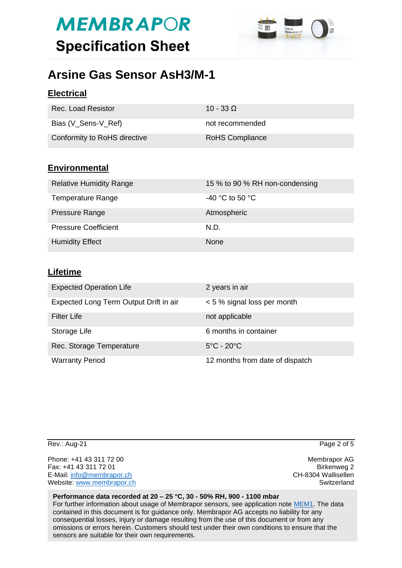

# **Arsine Gas Sensor AsH3/M-1**

## **Electrical**

| Rec. Load Resistor           | 10 - 33 Q              |
|------------------------------|------------------------|
| Bias (V_Sens-V_Ref)          | not recommended        |
| Conformity to RoHS directive | <b>RoHS Compliance</b> |

## **Environmental**

| <b>Relative Humidity Range</b> | 15 % to 90 % RH non-condensing |
|--------------------------------|--------------------------------|
| <b>Temperature Range</b>       | -40 °C to 50 °C                |
| Pressure Range                 | Atmospheric                    |
| <b>Pressure Coefficient</b>    | N.D.                           |
| <b>Humidity Effect</b>         | <b>None</b>                    |

### **Lifetime**

| <b>Expected Operation Life</b>         | 2 years in air                  |
|----------------------------------------|---------------------------------|
| Expected Long Term Output Drift in air | < 5 % signal loss per month     |
| <b>Filter Life</b>                     | not applicable                  |
| Storage Life                           | 6 months in container           |
| Rec. Storage Temperature               | $5^{\circ}$ C - 20 $^{\circ}$ C |
| <b>Warranty Period</b>                 | 12 months from date of dispatch |

Phone: +41 43 311 72 00 **Membrapor AG** Fax: +41 43 311 72 01 Birkenweg 2 E-Mail: [info@membrapor.ch](mailto:info@membrapor.ch) CH-8304 Wallisellen Website: [www.membrapor.ch](http://www.membrapor.ch/) Switzerland Switzerland Switzerland

Rev.: Aug-21 Page 2 of 5

#### **Performance data recorded at 20 – 25 °C, 30 - 50% RH, 900 - 1100 mbar**

For further information about usage of Membrapor sensors, see application note [MEM1.](https://www.membrapor.ch/sheet/Application_Note_MEM1.pdf) The data contained in this document is for guidance only. Membrapor AG accepts no liability for any consequential losses, injury or damage resulting from the use of this document or from any omissions or errors herein. Customers should test under their own conditions to ensure that the sensors are suitable for their own requirements.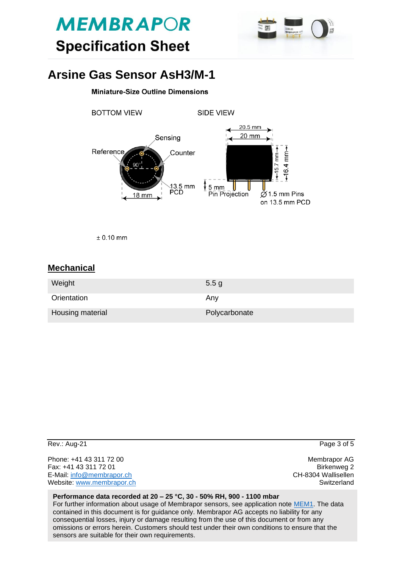



# **Arsine Gas Sensor AsH3/M-1**

#### **Miniature-Size Outline Dimensions**



 $± 0.10$  mm

### **Mechanical**

| Weight           | 5.5 <sub>g</sub> |
|------------------|------------------|
| Orientation      | Any              |
| Housing material | Polycarbonate    |

| Rev.: Aug-21              | Page 3 of 5         |
|---------------------------|---------------------|
| Phone: +41 43 311 72 00   | Membrapor AG        |
| Fax: +41 43 311 72 01     | Birkenweg 2         |
| E-Mail: info@membrapor.ch | CH-8304 Wallisellen |
| Website: www.membrapor.ch | Switzerland         |
|                           |                     |

#### **Performance data recorded at 20 – 25 °C, 30 - 50% RH, 900 - 1100 mbar**

For further information about usage of Membrapor sensors, see application note [MEM1.](https://www.membrapor.ch/sheet/Application_Note_MEM1.pdf) The data contained in this document is for guidance only. Membrapor AG accepts no liability for any consequential losses, injury or damage resulting from the use of this document or from any omissions or errors herein. Customers should test under their own conditions to ensure that the sensors are suitable for their own requirements.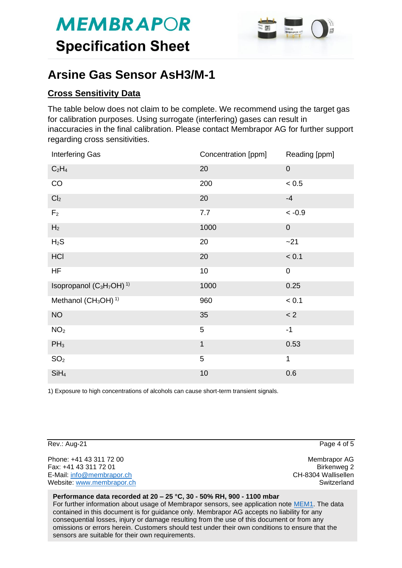

# **Arsine Gas Sensor AsH3/M-1**

## **Cross Sensitivity Data**

The table below does not claim to be complete. We recommend using the target gas for calibration purposes. Using surrogate (interfering) gases can result in inaccuracies in the final calibration. Please contact Membrapor AG for further support regarding cross sensitivities.

| Interfering Gas                                              | Concentration [ppm] | Reading [ppm] |
|--------------------------------------------------------------|---------------------|---------------|
| $C_2H_4$                                                     | 20                  | $\mathbf 0$   |
| CO                                                           | 200                 | < 0.5         |
| Cl <sub>2</sub>                                              | 20                  | $-4$          |
| F <sub>2</sub>                                               | 7.7                 | $~<$ -0.9     |
| H <sub>2</sub>                                               | 1000                | $\pmb{0}$     |
| $H_2S$                                                       | 20                  | $-21$         |
| HCI                                                          | 20                  | < 0.1         |
| <b>HF</b>                                                    | 10                  | $\pmb{0}$     |
| Isopropanol (C <sub>3</sub> H <sub>7</sub> OH) <sup>1)</sup> | 1000                | 0.25          |
| Methanol (CH <sub>3</sub> OH) <sup>1)</sup>                  | 960                 | < 0.1         |
| <b>NO</b>                                                    | 35                  | < 2           |
| NO <sub>2</sub>                                              | 5                   | $-1$          |
| $PH_3$                                                       | $\mathbf{1}$        | 0.53          |
| SO <sub>2</sub>                                              | 5                   | 1             |
| SiH <sub>4</sub>                                             | 10                  | 0.6           |

1) Exposure to high concentrations of alcohols can cause short-term transient signals.

Rev.: Aug-21 Page 4 of 5

Phone: +41 43 311 72 00 **Membrapor AG** Fax: +41 43 311 72 01 Birkenweg 2 E-Mail: [info@membrapor.ch](mailto:info@membrapor.ch) CH-8304 Wallisellen Website: [www.membrapor.ch](http://www.membrapor.ch/) Switzerland Switzerland Switzerland

#### **Performance data recorded at 20 – 25 °C, 30 - 50% RH, 900 - 1100 mbar**

For further information about usage of Membrapor sensors, see application note [MEM1.](https://www.membrapor.ch/sheet/Application_Note_MEM1.pdf) The data contained in this document is for guidance only. Membrapor AG accepts no liability for any consequential losses, injury or damage resulting from the use of this document or from any omissions or errors herein. Customers should test under their own conditions to ensure that the sensors are suitable for their own requirements.